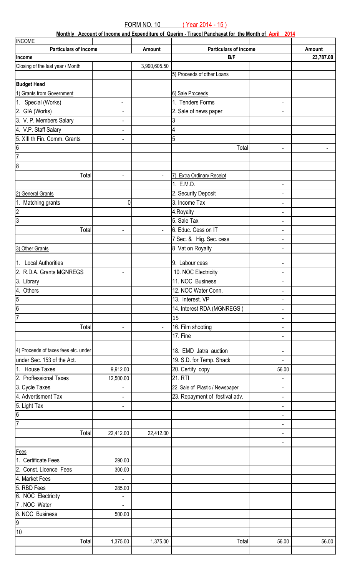**Monthly Account of Income and Expenditure of Querim - Tiracol Panchayat for the Month of April 2014**

| <b>INCOME</b>                         |                          |                |                                 |                                   |           |
|---------------------------------------|--------------------------|----------------|---------------------------------|-----------------------------------|-----------|
| <b>Particulars of income</b>          |                          | Amount         | <b>Particulars of income</b>    |                                   | Amount    |
| Income                                |                          |                | B/F                             |                                   | 23,787.00 |
| Closing of the last year / Month      |                          | 3,990,605.50   |                                 |                                   |           |
|                                       |                          |                | 5) Proceeds of other Loans      |                                   |           |
| <b>Budget Head</b>                    |                          |                |                                 |                                   |           |
| 1) Grants from Government             |                          |                | 6) Sale Proceeds                |                                   |           |
| 1. Special (Works)                    | $\blacksquare$           |                | 1. Tenders Forms                | $\overline{\phantom{a}}$          |           |
| 2. GIA (Works)                        | $\blacksquare$           |                | 2. Sale of news paper           | $\blacksquare$                    |           |
| 3. V. P. Members Salary               | $\blacksquare$           |                | 3                               |                                   |           |
| 4. V.P. Staff Salary                  | $\overline{\phantom{a}}$ |                | 4                               |                                   |           |
| 5. XIII th Fin. Comm. Grants          |                          |                | 5                               |                                   |           |
|                                       | $\blacksquare$           |                |                                 |                                   |           |
| $\frac{6}{7}$                         |                          |                | Total                           | $\blacksquare$                    |           |
|                                       |                          |                |                                 |                                   |           |
| $\overline{\overline{\mathbf{8}}}$    |                          |                |                                 |                                   |           |
| Total                                 | $\blacksquare$           | $\blacksquare$ | Extra Ordinary Receipt          |                                   |           |
|                                       |                          |                | 1. E.M.D.                       | $\overline{\phantom{a}}$          |           |
| 2) General Grants                     |                          |                | 2. Security Deposit             | $\blacksquare$                    |           |
| 1. Matching grants                    | 0                        |                | 3. Income Tax                   | $\overline{\phantom{a}}$          |           |
| $\overline{2}$                        |                          |                | 4. Royalty                      | $\overline{\phantom{a}}$          |           |
| $\overline{3}$                        |                          |                | 5. Sale Tax                     | $\blacksquare$                    |           |
| Total                                 | $\blacksquare$           | $\blacksquare$ | 6. Educ. Cess on IT             | $\overline{\phantom{a}}$          |           |
|                                       |                          |                | 7 Sec. & Hig. Sec. cess         | $\overline{\phantom{a}}$          |           |
| 3) Other Grants                       |                          |                | 8 Vat on Royalty                | $\blacksquare$                    |           |
|                                       |                          |                |                                 |                                   |           |
| 1. Local Authorities                  |                          |                | 9. Labour cess                  | $\qquad \qquad \blacksquare$      |           |
| 2. R.D.A. Grants MGNREGS              | $\overline{\phantom{a}}$ |                | 10. NOC Electricity             | $\overline{\phantom{a}}$          |           |
| $\sqrt{3}$ . Library                  |                          |                | 11. NOC Business                | $\qquad \qquad \blacksquare$      |           |
| 4. Others                             |                          |                | 12. NOC Water Conn.             | $\overline{\phantom{a}}$          |           |
| $\overline{5}$                        |                          |                | 13. Interest. VP                | $\blacksquare$                    |           |
| $\overline{6}$                        |                          |                | 14. Interest RDA (MGNREGS)      | ۰                                 |           |
| $\overline{7}$                        |                          |                | 15                              | $\blacksquare$                    |           |
| Total                                 | ÷,                       | $\blacksquare$ | 16. Film shooting               | $\overline{\phantom{a}}$          |           |
|                                       |                          |                | 17. Fine                        | $\qquad \qquad \blacksquare$      |           |
| 4) Proceeds of taxes fees etc. under  |                          |                | 18. EMD Jatra auction           |                                   |           |
| under Sec. 153 of the Act.            |                          |                | 19. S.D. for Temp. Shack        | $\blacksquare$                    |           |
| 1. House Taxes                        | 9,912.00                 |                | 20. Certify copy                | $\overline{\phantom{a}}$<br>56.00 |           |
| 2. Proffessional Taxes                |                          |                | 21. RTI                         |                                   |           |
|                                       | 12,500.00                |                |                                 | ۰                                 |           |
| 3. Cycle Taxes<br>4. Advertisment Tax |                          |                | 22. Sale of Plastic / Newspaper | $\blacksquare$                    |           |
|                                       | $\blacksquare$           |                | 23. Repayment of festival adv.  | $\overline{\phantom{a}}$          |           |
| 5. Light Tax                          | $\blacksquare$           |                |                                 | $\overline{\phantom{a}}$          |           |
| $\overline{6}$                        |                          |                |                                 | $\blacksquare$                    |           |
| $\overline{7}$                        |                          |                |                                 | $\overline{\phantom{a}}$          |           |
| Total                                 | 22,412.00                | 22,412.00      |                                 | $\overline{\phantom{a}}$          |           |
|                                       |                          |                |                                 | $\blacksquare$                    |           |
| <b>Fees</b>                           |                          |                |                                 |                                   |           |
| 1. Certificate Fees                   | 290.00                   |                |                                 |                                   |           |
| 2. Const. Licence Fees                | 300.00                   |                |                                 |                                   |           |
| 4. Market Fees                        |                          |                |                                 |                                   |           |
| 5. RBD Fees                           | 285.00                   |                |                                 |                                   |           |
| 6. NOC Electricity                    |                          |                |                                 |                                   |           |
| 7. NOC Water                          |                          |                |                                 |                                   |           |
| 8. NOC Business                       | 500.00                   |                |                                 |                                   |           |
| $\overline{9}$                        |                          |                |                                 |                                   |           |
| 10                                    |                          |                |                                 |                                   |           |
| Total                                 | 1,375.00                 | 1,375.00       | Total                           | 56.00                             | 56.00     |
|                                       |                          |                |                                 |                                   |           |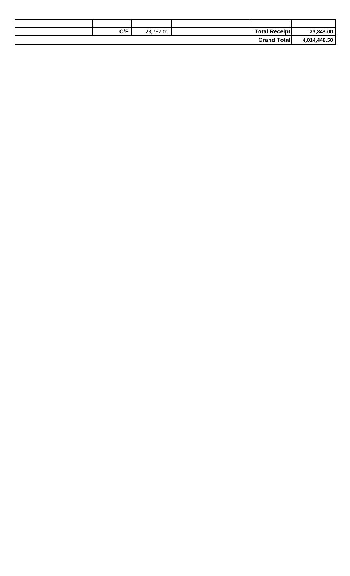| C/F | 23,787.00 | <b>Total Receipt</b> | 23,843.00    |
|-----|-----------|----------------------|--------------|
|     |           | <b>Grand Total</b>   | 4,014,448.50 |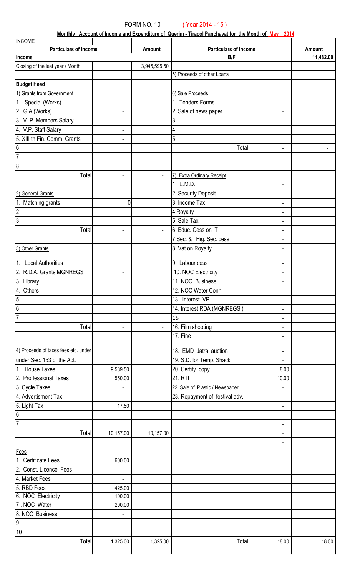**Monthly Account of Income and Expenditure of Querim - Tiracol Panchayat for the Month of May 2014**

| <b>INCOME</b>                        |                                            |                |                                        |                              |           |
|--------------------------------------|--------------------------------------------|----------------|----------------------------------------|------------------------------|-----------|
| <b>Particulars of income</b>         |                                            | Amount         | <b>Particulars of income</b>           |                              | Amount    |
| Income                               |                                            |                | B/F                                    |                              | 11,482.00 |
| Closing of the last year / Month     |                                            | 3,945,595.50   |                                        |                              |           |
|                                      |                                            |                | 5) Proceeds of other Loans             |                              |           |
| <b>Budget Head</b>                   |                                            |                |                                        |                              |           |
| 1) Grants from Government            |                                            |                | 6) Sale Proceeds                       |                              |           |
| 1. Special (Works)                   | $\blacksquare$                             |                | 1. Tenders Forms                       | $\blacksquare$               |           |
| 2. GIA (Works)                       | $\blacksquare$                             |                | 2. Sale of news paper                  | $\overline{\phantom{0}}$     |           |
| 3. V. P. Members Salary              | $\blacksquare$                             |                | 3                                      |                              |           |
| 4. V.P. Staff Salary                 | $\blacksquare$                             |                | 4                                      |                              |           |
| 5. XIII th Fin. Comm. Grants         | $\blacksquare$                             |                | 5                                      |                              |           |
| 6                                    |                                            |                | Total                                  | $\blacksquare$               |           |
| 7                                    |                                            |                |                                        |                              |           |
| 8                                    |                                            |                |                                        |                              |           |
|                                      |                                            |                |                                        |                              |           |
| Total                                | ÷,                                         | $\blacksquare$ | 7) Extra Ordinary Receipt<br>1. E.M.D. |                              |           |
|                                      |                                            |                |                                        | $\qquad \qquad \blacksquare$ |           |
| 2) General Grants                    |                                            |                | 2. Security Deposit                    | $\blacksquare$               |           |
| 1. Matching grants                   | 0                                          |                | 3. Income Tax                          | $\overline{\phantom{0}}$     |           |
| $\overline{2}$                       |                                            |                | 4. Royalty                             | $\qquad \qquad \blacksquare$ |           |
| က                                    |                                            |                | 5. Sale Tax                            | ۰                            |           |
| Total                                | ÷,                                         | $\blacksquare$ | 6. Educ. Cess on IT                    | $\blacksquare$               |           |
|                                      |                                            |                | 7 Sec. & Hig. Sec. cess                | $\overline{\phantom{a}}$     |           |
| 3) Other Grants                      |                                            |                | 8 Vat on Royalty                       | $\blacksquare$               |           |
| 1. Local Authorities                 |                                            |                | 9. Labour cess                         | $\qquad \qquad \blacksquare$ |           |
| 2. R.D.A. Grants MGNREGS             | $\overline{\phantom{a}}$                   |                | 10. NOC Electricity                    | $\blacksquare$               |           |
| 3. Library                           |                                            |                | 11. NOC Business                       | $\blacksquare$               |           |
| 4. Others                            |                                            |                | 12. NOC Water Conn.                    | $\overline{\phantom{a}}$     |           |
| $\overline{5}$                       |                                            |                | 13. Interest. VP                       | $\blacksquare$               |           |
| $\overline{6}$                       |                                            |                | 14. Interest RDA (MGNREGS)             | $\blacksquare$               |           |
| 17                                   |                                            |                | 15                                     | $\qquad \qquad \blacksquare$ |           |
| Total                                | $\blacksquare$                             | $\blacksquare$ | 16. Film shooting                      | $\blacksquare$               |           |
|                                      |                                            |                | 17. Fine                               | $\blacksquare$               |           |
|                                      |                                            |                |                                        |                              |           |
| 4) Proceeds of taxes fees etc. under |                                            |                | 18. EMD Jatra auction                  | $\blacksquare$               |           |
| under Sec. 153 of the Act.           |                                            |                | 19. S.D. for Temp. Shack               | $\blacksquare$               |           |
| 1. House Taxes                       | 9,589.50                                   |                | 20. Certify copy                       | 8.00                         |           |
| 2. Proffessional Taxes               | 550.00                                     |                | 21. RTI                                | 10.00                        |           |
| 3. Cycle Taxes                       |                                            |                | 22. Sale of Plastic / Newspaper        | $\blacksquare$               |           |
| 4. Advertisment Tax                  | ä,                                         |                | 23. Repayment of festival adv.         | $\blacksquare$               |           |
| 5. Light Tax                         | 17.50                                      |                |                                        | $\blacksquare$               |           |
| $\overline{6}$                       |                                            |                |                                        | $\overline{\phantom{a}}$     |           |
| 7                                    |                                            |                |                                        | $\blacksquare$               |           |
| Total                                | 10,157.00                                  | 10,157.00      |                                        | $\blacksquare$               |           |
|                                      |                                            |                |                                        | $\overline{\phantom{a}}$     |           |
| Fees                                 |                                            |                |                                        |                              |           |
| 1. Certificate Fees                  | 600.00                                     |                |                                        |                              |           |
| 2. Const. Licence Fees               |                                            |                |                                        |                              |           |
| 4. Market Fees                       | $\overline{\phantom{0}}$<br>$\overline{a}$ |                |                                        |                              |           |
| 5. RBD Fees                          | 425.00                                     |                |                                        |                              |           |
| 6. NOC Electricity                   | 100.00                                     |                |                                        |                              |           |
| 7. NOC Water                         | 200.00                                     |                |                                        |                              |           |
| 8. NOC Business                      | $\overline{\phantom{a}}$                   |                |                                        |                              |           |
| $\overline{9}$                       |                                            |                |                                        |                              |           |
| 10                                   |                                            |                |                                        |                              |           |
| Total                                | 1,325.00                                   |                | Total                                  |                              |           |
|                                      |                                            | 1,325.00       |                                        | 18.00                        | 18.00     |
|                                      |                                            |                |                                        |                              |           |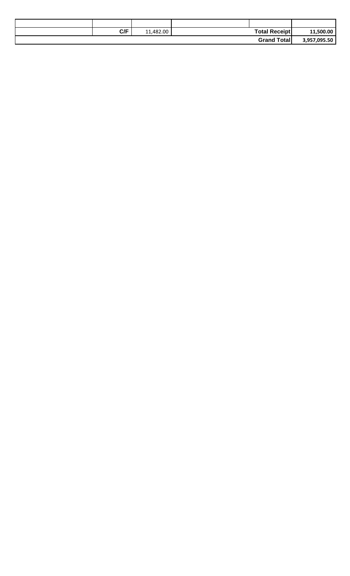| C/F | 11,482.00 | <b>Total Receipt</b> | 11,500.00    |
|-----|-----------|----------------------|--------------|
|     |           | <b>Grand Total</b>   | 3,957,095.50 |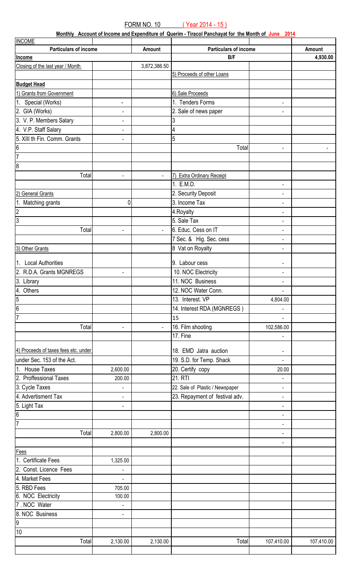**Monthly Account of Income and Expenditure of Querim - Tiracol Panchayat for the Month of June 2014**

| <b>INCOME</b>                        |                          |                |                                 |                              |            |
|--------------------------------------|--------------------------|----------------|---------------------------------|------------------------------|------------|
| <b>Particulars of income</b>         |                          | Amount         | Particulars of income           |                              | Amount     |
| Income                               |                          |                | B/F                             |                              | 4,930.00   |
| Closing of the last year / Month     |                          | 3,872,386.50   |                                 |                              |            |
|                                      |                          |                | 5) Proceeds of other Loans      |                              |            |
| <b>Budget Head</b>                   |                          |                |                                 |                              |            |
| 1) Grants from Government            |                          |                | 6) Sale Proceeds                |                              |            |
| 1. Special (Works)                   | $\overline{\phantom{a}}$ |                | 1. Tenders Forms                | $\qquad \qquad \blacksquare$ |            |
| 2. GIA (Works)                       | ÷,                       |                | 2. Sale of news paper           | $\blacksquare$               |            |
| 3. V. P. Members Salary              | $\overline{\phantom{0}}$ |                | 3                               |                              |            |
| 4. V.P. Staff Salary                 | $\blacksquare$           |                | 4                               |                              |            |
| 5. XIII th Fin. Comm. Grants         | $\blacksquare$           |                | 5                               |                              |            |
| $\vert 6 \vert$                      |                          |                | Total                           |                              |            |
| $\overline{7}$                       |                          |                |                                 | $\blacksquare$               |            |
| $\overline{8}$                       |                          |                |                                 |                              |            |
|                                      |                          |                |                                 |                              |            |
| Total                                | $\blacksquare$           | $\blacksquare$ | 7) Extra Ordinary Receipt       |                              |            |
|                                      |                          |                | 1. E.M.D.                       | $\blacksquare$               |            |
| 2) General Grants                    |                          |                | 2. Security Deposit             | $\blacksquare$               |            |
| 1. Matching grants                   | 0                        |                | 3. Income Tax                   | $\qquad \qquad \blacksquare$ |            |
| $\overline{2}$                       |                          |                | 4. Royalty                      | $\blacksquare$               |            |
| $\overline{3}$                       |                          |                | 5. Sale Tax                     | $\blacksquare$               |            |
| Total                                | $\blacksquare$           | $\blacksquare$ | 6. Educ. Cess on IT             | $\qquad \qquad \blacksquare$ |            |
|                                      |                          |                | 7 Sec. & Hig. Sec. cess         | $\blacksquare$               |            |
| 3) Other Grants                      |                          |                | 8 Vat on Royalty                | $\blacksquare$               |            |
|                                      |                          |                |                                 |                              |            |
| 1. Local Authorities                 |                          |                | 9. Labour cess                  | $\qquad \qquad \blacksquare$ |            |
| 2. R.D.A. Grants MGNREGS             | ÷,                       |                | 10. NOC Electricity             | $\blacksquare$               |            |
| 3. Library                           |                          |                | 11. NOC Business                | $\blacksquare$               |            |
| 4. Others                            |                          |                | 12. NOC Water Conn.             | $\blacksquare$               |            |
| $\frac{5}{6}$                        |                          |                | 13. Interest. VP                | 4,804.00                     |            |
|                                      |                          |                | 14. Interest RDA (MGNREGS)      |                              |            |
| $\overline{7}$                       |                          |                | 15                              |                              |            |
| Total                                | $\blacksquare$           | $\blacksquare$ | 16. Film shooting               | 102,586.00                   |            |
|                                      |                          |                | 17. Fine                        | $\overline{\phantom{0}}$     |            |
| 4) Proceeds of taxes fees etc. under |                          |                | 18. EMD Jatra auction           |                              |            |
|                                      |                          |                |                                 | $\blacksquare$               |            |
| under Sec. 153 of the Act.           |                          |                | 19. S.D. for Temp. Shack        | $\blacksquare$               |            |
| 1. House Taxes                       | 2,600.00                 |                | 20. Certify copy                | 20.00                        |            |
| 2. Proffessional Taxes               | 200.00                   |                | <b>21. RTI</b>                  | ۰                            |            |
| 3. Cycle Taxes                       | $\blacksquare$           |                | 22. Sale of Plastic / Newspaper | $\blacksquare$               |            |
| 4. Advertisment Tax                  | $\blacksquare$           |                | 23. Repayment of festival adv.  | $\blacksquare$               |            |
| 5. Light Tax                         | $\overline{\phantom{a}}$ |                |                                 | $\blacksquare$               |            |
| $\overline{6}$                       |                          |                |                                 | $\blacksquare$               |            |
| 7                                    |                          |                |                                 | $\blacksquare$               |            |
| Total                                | 2,800.00                 | 2,800.00       |                                 | ÷,                           |            |
|                                      |                          |                |                                 | $\blacksquare$               |            |
| Fees                                 |                          |                |                                 |                              |            |
| 1. Certificate Fees                  | 1,325.00                 |                |                                 |                              |            |
| 2. Const. Licence Fees               | $\blacksquare$           |                |                                 |                              |            |
| 4. Market Fees                       | L,                       |                |                                 |                              |            |
| 5. RBD Fees                          | 705.00                   |                |                                 |                              |            |
| 6. NOC Electricity                   | 100.00                   |                |                                 |                              |            |
| 7. NOC Water                         | $\overline{\phantom{a}}$ |                |                                 |                              |            |
| 8. NOC Business                      | $\overline{\phantom{a}}$ |                |                                 |                              |            |
| $\overline{9}$                       |                          |                |                                 |                              |            |
| 10                                   |                          |                |                                 |                              |            |
| Total                                | 2,130.00                 | 2,130.00       | Total                           | 107,410.00                   | 107,410.00 |
|                                      |                          |                |                                 |                              |            |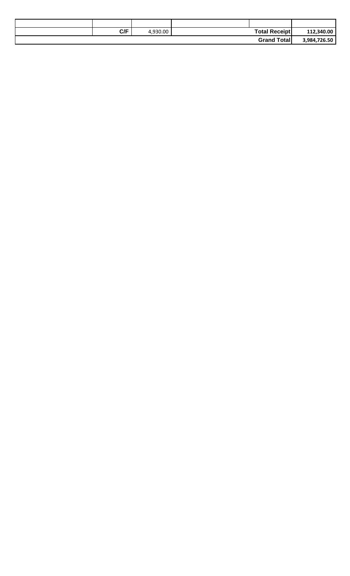| 112,340.00   | <b>Total Receipt</b> | 930.00 | C/F |  |
|--------------|----------------------|--------|-----|--|
| 3,984,726.50 | <b>Grand Total</b>   |        |     |  |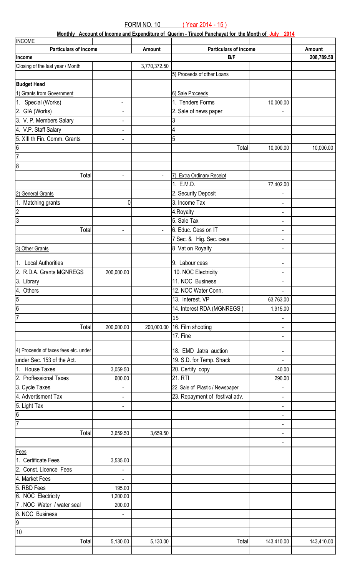**Monthly Account of Income and Expenditure of Querim - Tiracol Panchayat for the Month of July 2014**

| <b>INCOME</b>                        |                          |                |                                 |                              |            |
|--------------------------------------|--------------------------|----------------|---------------------------------|------------------------------|------------|
| <b>Particulars of income</b>         |                          | Amount         | Particulars of income           |                              | Amount     |
| Income                               |                          |                | B/F                             |                              | 208,789.50 |
| Closing of the last year / Month     |                          | 3,770,372.50   |                                 |                              |            |
|                                      |                          |                | 5) Proceeds of other Loans      |                              |            |
| <b>Budget Head</b>                   |                          |                |                                 |                              |            |
| 1) Grants from Government            |                          |                | 6) Sale Proceeds                |                              |            |
| 1. Special (Works)                   | ÷,                       |                | 1. Tenders Forms                | 10,000.00                    |            |
| 2. GIA (Works)                       | $\blacksquare$           |                | 2. Sale of news paper           |                              |            |
| 3. V. P. Members Salary              | $\blacksquare$           |                | 3                               |                              |            |
| 4. V.P. Staff Salary                 | $\blacksquare$           |                | 4                               |                              |            |
| 5. XIII th Fin. Comm. Grants         | $\overline{\phantom{a}}$ |                | 5                               |                              |            |
| 16                                   |                          |                | Total                           | 10,000.00                    | 10,000.00  |
| l7                                   |                          |                |                                 |                              |            |
| 8                                    |                          |                |                                 |                              |            |
| Total                                |                          |                | Extra Ordinary Receipt          |                              |            |
|                                      | $\blacksquare$           | $\blacksquare$ | 1. E.M.D.                       |                              |            |
|                                      |                          |                |                                 | 77,402.00                    |            |
| General Grants                       |                          |                | 2. Security Deposit             |                              |            |
| Matching grants                      | 0                        |                | 3. Income Tax                   | $\blacksquare$               |            |
| 2                                    |                          |                | 4. Royalty                      | $\blacksquare$               |            |
| 3                                    |                          |                | 5. Sale Tax                     | $\overline{\phantom{a}}$     |            |
| Total                                | $\blacksquare$           | $\blacksquare$ | 6. Educ. Cess on IT             | $\qquad \qquad \blacksquare$ |            |
|                                      |                          |                | 7 Sec. & Hig. Sec. cess         | $\blacksquare$               |            |
| 3) Other Grants                      |                          |                | 8 Vat on Royalty                | $\blacksquare$               |            |
|                                      |                          |                |                                 |                              |            |
| 1. Local Authorities                 |                          |                | 9. Labour cess                  | $\blacksquare$               |            |
| 2. R.D.A. Grants MGNREGS             | 200,000.00               |                | 10. NOC Electricity             | $\blacksquare$               |            |
| 3. Library                           |                          |                | 11. NOC Business                | $\overline{\phantom{a}}$     |            |
| 4. Others                            |                          |                | 12. NOC Water Conn.             | $\blacksquare$               |            |
| $\overline{5}$                       |                          |                | 13. Interest. VP                | 63,763.00                    |            |
| $\overline{6}$                       |                          |                | 14. Interest RDA (MGNREGS)      | 1,915.00                     |            |
| l7                                   |                          |                | 15                              |                              |            |
| Total                                | 200,000.00               | 200,000.00     | 16. Film shooting               | $\blacksquare$               |            |
|                                      |                          |                | 17. Fine                        | $\blacksquare$               |            |
|                                      |                          |                |                                 |                              |            |
| 4) Proceeds of taxes fees etc. under |                          |                | 18. EMD Jatra auction           | $\blacksquare$               |            |
| under Sec. 153 of the Act.           |                          |                | 19. S.D. for Temp. Shack        | $\blacksquare$               |            |
| 1. House Taxes                       | 3,059.50                 |                | 20. Certify copy                | 40.00                        |            |
| 2. Proffessional Taxes               | 600.00                   |                | 21. RTI                         | 290.00                       |            |
| 3. Cycle Taxes                       |                          |                | 22. Sale of Plastic / Newspaper |                              |            |
| 4. Advertisment Tax                  | $\blacksquare$           |                | 23. Repayment of festival adv.  | $\blacksquare$               |            |
| 5. Light Tax                         | $\overline{\phantom{a}}$ |                |                                 | $\blacksquare$               |            |
| 6                                    |                          |                |                                 | $\blacksquare$               |            |
|                                      |                          |                |                                 | $\blacksquare$               |            |
| Total                                | 3,659.50                 | 3,659.50       |                                 | $\blacksquare$               |            |
|                                      |                          |                |                                 | $\qquad \qquad \blacksquare$ |            |
| <b>Fees</b>                          |                          |                |                                 |                              |            |
| 1. Certificate Fees                  | 3,535.00                 |                |                                 |                              |            |
| 2. Const. Licence Fees               |                          |                |                                 |                              |            |
| 4. Market Fees                       | ÷,                       |                |                                 |                              |            |
| 5. RBD Fees                          | 195.00                   |                |                                 |                              |            |
| 6. NOC Electricity                   | 1,200.00                 |                |                                 |                              |            |
| 7. NOC Water / water seal            | 200.00                   |                |                                 |                              |            |
| 8. NOC Business                      | $\overline{a}$           |                |                                 |                              |            |
| $\overline{9}$                       |                          |                |                                 |                              |            |
| 10                                   |                          |                |                                 |                              |            |
| Total                                | 5,130.00                 | 5,130.00       | Total                           | 143,410.00                   | 143,410.00 |
|                                      |                          |                |                                 |                              |            |
|                                      |                          |                |                                 |                              |            |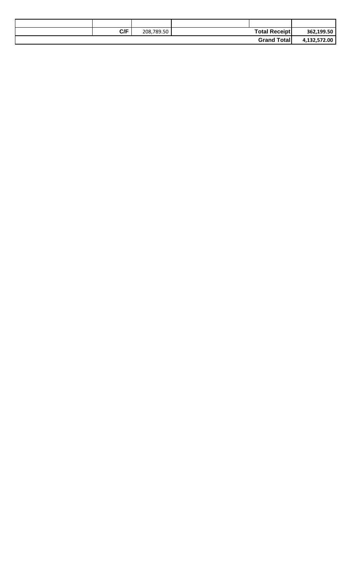| C/F | 208,789.50 | <b>Total Receipt</b> | 362,199.50   |
|-----|------------|----------------------|--------------|
|     |            | <b>Grand Total</b>   | 4,132,572.00 |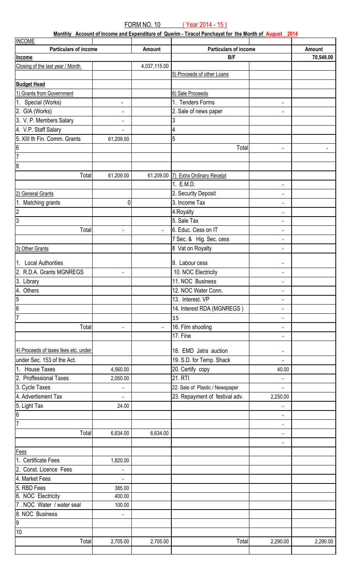**Monthly Account of Income and Expenditure of Querim - Tiracol Panchayat for the Month of August 2014**

| <b>INCOME</b>                        |                          |                |                                 |                              |           |
|--------------------------------------|--------------------------|----------------|---------------------------------|------------------------------|-----------|
| <b>Particulars of income</b>         |                          | Amount         | <b>Particulars of income</b>    |                              | Amount    |
| Income                               |                          |                | B/F                             |                              | 70,548.00 |
| Closing of the last year / Month     |                          | 4,037,115.00   |                                 |                              |           |
|                                      |                          |                | 5) Proceeds of other Loans      |                              |           |
| <b>Budget Head</b>                   |                          |                |                                 |                              |           |
| 1) Grants from Government            |                          |                | 6) Sale Proceeds                |                              |           |
| 1. Special (Works)                   | $\overline{\phantom{a}}$ |                | 1. Tenders Forms                | $\blacksquare$               |           |
| 2. GIA (Works)                       | $\overline{\phantom{a}}$ |                | 2. Sale of news paper           | $\overline{\phantom{0}}$     |           |
| 3. V. P. Members Salary              | $\blacksquare$           |                | 3                               |                              |           |
| 4. V.P. Staff Salary                 | $\blacksquare$           |                | 4                               |                              |           |
| 5. XIII th Fin. Comm. Grants         | 61,209.00                |                | 5                               |                              |           |
| $6\overline{6}$                      |                          |                | Total                           |                              |           |
| 7                                    |                          |                |                                 | $\blacksquare$               |           |
|                                      |                          |                |                                 |                              |           |
| $\infty$                             |                          |                |                                 |                              |           |
| Total                                | 61,209.00                | 61,209.00      | 7) Extra Ordinary Receipt       |                              |           |
|                                      |                          |                | 1. E.M.D.                       | $\overline{\phantom{a}}$     |           |
| 2) General Grants                    |                          |                | 2. Security Deposit             | $\overline{\phantom{0}}$     |           |
| Matching grants                      | 0                        |                | 3. Income Tax                   | $\overline{\phantom{a}}$     |           |
| $\overline{2}$                       |                          |                | 4. Royalty                      | $\overline{\phantom{a}}$     |           |
| $\overline{3}$                       |                          |                | 5. Sale Tax                     | $\blacksquare$               |           |
| Total                                | $\overline{\phantom{a}}$ | $\blacksquare$ | 6. Educ. Cess on IT             | $\overline{\phantom{a}}$     |           |
|                                      |                          |                | 7 Sec. & Hig. Sec. cess         | $\overline{\phantom{a}}$     |           |
| 3) Other Grants                      |                          |                | 8 Vat on Royalty                | $\blacksquare$               |           |
|                                      |                          |                |                                 |                              |           |
| 1. Local Authorities                 |                          |                | 9. Labour cess                  | $\overline{\phantom{a}}$     |           |
| 2. R.D.A. Grants MGNREGS             | ÷,                       |                | 10. NOC Electricity             | $\blacksquare$               |           |
| $\sqrt{3}$ . Library                 |                          |                | 11. NOC Business                | $\blacksquare$               |           |
| 4. Others                            |                          |                | 12. NOC Water Conn.             | $\overline{\phantom{a}}$     |           |
|                                      |                          |                | 13. Interest. VP                | $\blacksquare$               |           |
| $\frac{5}{6}$                        |                          |                | 14. Interest RDA (MGNREGS)      | $\overline{\phantom{a}}$     |           |
| $\overline{7}$                       |                          |                | 15                              | $\overline{\phantom{a}}$     |           |
| Total                                | $\blacksquare$           | ä,             | 16. Film shooting               | $\overline{\phantom{a}}$     |           |
|                                      |                          |                | 17. Fine                        | $\blacksquare$               |           |
|                                      |                          |                |                                 |                              |           |
| 4) Proceeds of taxes fees etc. under |                          |                | 18. EMD Jatra auction           | $\blacksquare$               |           |
| under Sec. 153 of the Act.           |                          |                | 19. S.D. for Temp. Shack        | $\blacksquare$               |           |
| 1. House Taxes                       | 4,560.00                 |                | 20. Certify copy                | 40.00                        |           |
| 2. Proffessional Taxes               | 2,050.00                 |                | 21. RTI                         | $\blacksquare$               |           |
| 3. Cycle Taxes                       |                          |                | 22. Sale of Plastic / Newspaper | $\blacksquare$               |           |
| 4. Advertisment Tax                  | $\overline{a}$           |                | 23. Repayment of festival adv.  | 2,250.00                     |           |
| 5. Light Tax                         | 24.00                    |                |                                 | $\overline{\phantom{0}}$     |           |
| 6                                    |                          |                |                                 | $\qquad \qquad \blacksquare$ |           |
| $\overline{7}$                       |                          |                |                                 | $\blacksquare$               |           |
| Total                                |                          |                |                                 |                              |           |
|                                      | 6,634.00                 | 6,634.00       |                                 | $\overline{\phantom{a}}$     |           |
|                                      |                          |                |                                 | $\qquad \qquad \blacksquare$ |           |
| Fees                                 |                          |                |                                 |                              |           |
| 1. Certificate Fees                  | 1,820.00                 |                |                                 |                              |           |
| 2. Const. Licence Fees               |                          |                |                                 |                              |           |
| 4. Market Fees                       | ä,                       |                |                                 |                              |           |
| 5. RBD Fees                          | 385.00                   |                |                                 |                              |           |
| 6. NOC Electricity                   | 400.00                   |                |                                 |                              |           |
| 7. NOC Water / water seal            | 100.00                   |                |                                 |                              |           |
| 8. NOC Business                      | $\overline{\phantom{a}}$ |                |                                 |                              |           |
| $\overline{9}$                       |                          |                |                                 |                              |           |
| 10                                   |                          |                |                                 |                              |           |
| Total                                | 2,705.00                 | 2,705.00       | Total                           | 2,290.00                     | 2,290.00  |
|                                      |                          |                |                                 |                              |           |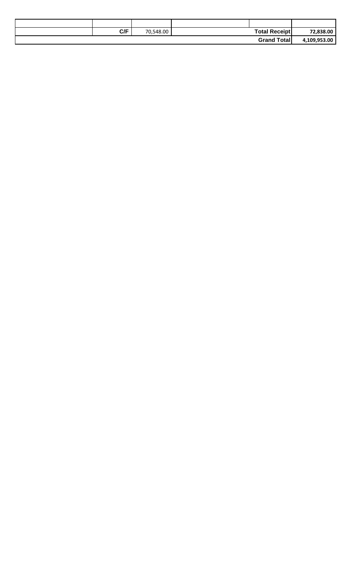| 72,838.00    | <b>Total Receipt</b> | 70,548.00 | C/F |  |
|--------------|----------------------|-----------|-----|--|
| 4,109,953.00 | <b>Grand Total</b>   |           |     |  |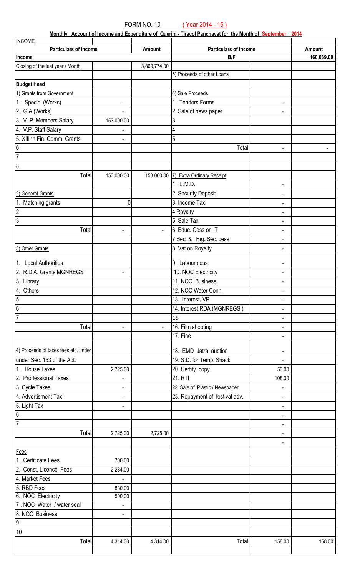**Monthly Account of Income and Expenditure of Querim - Tiracol Panchayat for the Month of September 2014**

| <b>INCOME</b>                        |                              |                |                                      |                          |            |
|--------------------------------------|------------------------------|----------------|--------------------------------------|--------------------------|------------|
| <b>Particulars of income</b>         |                              | Amount         | <b>Particulars of income</b>         |                          | Amount     |
| Income                               |                              |                | B/F                                  |                          | 160,039.00 |
| Closing of the last year / Month     |                              | 3,869,774.00   |                                      |                          |            |
|                                      |                              |                | 5) Proceeds of other Loans           |                          |            |
| <b>Budget Head</b>                   |                              |                |                                      |                          |            |
| 1) Grants from Government            |                              |                | 6) Sale Proceeds                     |                          |            |
| 1. Special (Works)                   | $\qquad \qquad \blacksquare$ |                | 1. Tenders Forms                     | $\blacksquare$           |            |
| 2. GIA (Works)                       | $\blacksquare$               |                | 2. Sale of news paper                | $\blacksquare$           |            |
| 3. V. P. Members Salary              | 153,000.00                   |                | 3                                    |                          |            |
| 4. V.P. Staff Salary                 | $\overline{\phantom{0}}$     |                | 4                                    |                          |            |
| 5. XIII th Fin. Comm. Grants         | $\overline{\phantom{a}}$     |                | 5                                    |                          |            |
| 6                                    |                              |                | Total                                |                          |            |
| 7                                    |                              |                |                                      | $\blacksquare$           |            |
|                                      |                              |                |                                      |                          |            |
| 8                                    |                              |                |                                      |                          |            |
| Total                                | 153,000.00                   |                | 153,000.00 7) Extra Ordinary Receipt |                          |            |
|                                      |                              |                | 1. E.M.D.                            | $\blacksquare$           |            |
| 2) General Grants                    |                              |                | 2. Security Deposit                  |                          |            |
| 1. Matching grants                   | 0                            |                | 3. Income Tax                        | $\overline{\phantom{a}}$ |            |
| $\overline{2}$                       |                              |                | 4. Royalty                           | $\overline{\phantom{a}}$ |            |
| က                                    |                              |                | 5. Sale Tax                          | $\overline{\phantom{a}}$ |            |
| Total                                | $\blacksquare$               | $\blacksquare$ | 6. Educ. Cess on IT                  | $\overline{\phantom{a}}$ |            |
|                                      |                              |                | 7 Sec. & Hig. Sec. cess              | $\blacksquare$           |            |
| 3) Other Grants                      |                              |                | 8 Vat on Royalty                     | $\overline{\phantom{a}}$ |            |
|                                      |                              |                |                                      |                          |            |
| 1. Local Authorities                 |                              |                | 9. Labour cess                       | $\overline{\phantom{a}}$ |            |
| 2. R.D.A. Grants MGNREGS             | $\blacksquare$               |                | 10. NOC Electricity                  | $\blacksquare$           |            |
| 3. Library                           |                              |                | 11. NOC Business                     | $\blacksquare$           |            |
| 4. Others                            |                              |                | 12. NOC Water Conn.                  | $\overline{\phantom{a}}$ |            |
| $\overline{5}$                       |                              |                | 13. Interest. VP                     | $\blacksquare$           |            |
| $\overline{6}$                       |                              |                | 14. Interest RDA (MGNREGS)           | $\blacksquare$           |            |
| l7                                   |                              |                | 15                                   |                          |            |
| Total                                | ÷,                           | $\overline{a}$ | 16. Film shooting                    |                          |            |
|                                      |                              |                | 17. Fine                             | $\blacksquare$           |            |
| 4) Proceeds of taxes fees etc. under |                              |                |                                      |                          |            |
|                                      |                              |                | 18. EMD Jatra auction                | $\blacksquare$           |            |
| under Sec. 153 of the Act.           |                              |                | 19. S.D. for Temp. Shack             | $\blacksquare$           |            |
| 1. House Taxes                       | 2,725.00                     |                | 20. Certify copy                     | 50.00                    |            |
| 2. Proffessional Taxes               | $\overline{\phantom{0}}$     |                | 21. RTI                              | 108.00                   |            |
| 3. Cycle Taxes                       | $\overline{\phantom{a}}$     |                | 22. Sale of Plastic / Newspaper      |                          |            |
| 4. Advertisment Tax                  | $\blacksquare$               |                | 23. Repayment of festival adv.       | $\blacksquare$           |            |
| 5. Light Tax                         | $\blacksquare$               |                |                                      | $\overline{\phantom{a}}$ |            |
| $\overline{6}$                       |                              |                |                                      | $\overline{\phantom{a}}$ |            |
| 17                                   |                              |                |                                      | $\overline{\phantom{a}}$ |            |
| Total                                | 2,725.00                     | 2,725.00       |                                      | $\blacksquare$           |            |
|                                      |                              |                |                                      | $\blacksquare$           |            |
| Fees                                 |                              |                |                                      |                          |            |
| 1. Certificate Fees                  | 700.00                       |                |                                      |                          |            |
| 2. Const. Licence Fees               | 2,284.00                     |                |                                      |                          |            |
| 4. Market Fees                       | L,                           |                |                                      |                          |            |
| 5. RBD Fees                          | 830.00                       |                |                                      |                          |            |
| 6. NOC Electricity                   | 500.00                       |                |                                      |                          |            |
| 7. NOC Water / water seal            | $\overline{\phantom{a}}$     |                |                                      |                          |            |
| 8. NOC Business                      | ÷,                           |                |                                      |                          |            |
| $\overline{9}$                       |                              |                |                                      |                          |            |
| 10                                   |                              |                |                                      |                          |            |
| Total                                | 4,314.00                     | 4,314.00       | Total                                | 158.00                   | 158.00     |
|                                      |                              |                |                                      |                          |            |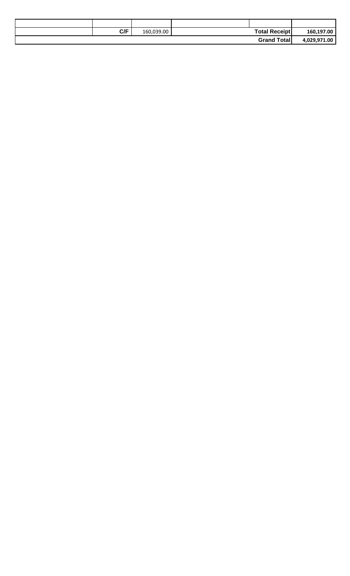| C/F | 160,039.00 | <b>Total Receipt</b> | 160,197.00   |
|-----|------------|----------------------|--------------|
|     |            | <b>Grand Total</b>   | 4,029,971.00 |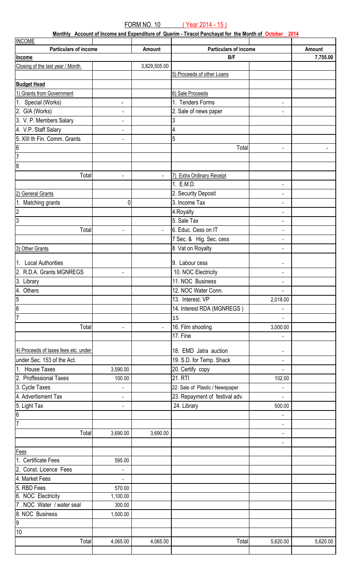**Monthly Account of Income and Expenditure of Querim - Tiracol Panchayat for the Month of October 2014**

| <b>INCOME</b>                        |                          |                |                                 |                              |          |
|--------------------------------------|--------------------------|----------------|---------------------------------|------------------------------|----------|
| <b>Particulars of income</b>         |                          | Amount         | <b>Particulars of income</b>    |                              | Amount   |
| Income                               |                          |                | B/F                             |                              | 7,755.00 |
| Closing of the last year / Month     |                          | 3,829,505.00   |                                 |                              |          |
|                                      |                          |                | 5) Proceeds of other Loans      |                              |          |
| <b>Budget Head</b>                   |                          |                |                                 |                              |          |
| 1) Grants from Government            |                          |                | 6) Sale Proceeds                |                              |          |
| 1. Special (Works)                   | ÷                        |                | 1. Tenders Forms                | $\blacksquare$               |          |
| 2. GIA (Works)                       | $\blacksquare$           |                | 2. Sale of news paper           |                              |          |
| 3. V. P. Members Salary              | $\blacksquare$           |                | 3                               |                              |          |
| 4. V.P. Staff Salary                 | $\overline{\phantom{a}}$ |                | 4                               |                              |          |
| 5. XIII th Fin. Comm. Grants         | $\overline{\phantom{0}}$ |                | 5                               |                              |          |
| $\frac{1}{6}$                        |                          |                | Total                           | ÷,                           |          |
| $\overline{7}$                       |                          |                |                                 |                              |          |
| $\overline{8}$                       |                          |                |                                 |                              |          |
| Total                                | ÷,                       | $\blacksquare$ | 7) Extra Ordinary Receipt       |                              |          |
|                                      |                          |                | 1. E.M.D.                       |                              |          |
| 2) General Grants                    |                          |                | 2. Security Deposit             | $\overline{\phantom{a}}$     |          |
| 1. Matching grants                   | 0                        |                | 3. Income Tax                   | $\overline{\phantom{a}}$     |          |
| $\overline{2}$                       |                          |                | 4. Royalty                      | $\overline{\phantom{a}}$     |          |
| ا دی                                 |                          |                | 5. Sale Tax                     | $\overline{\phantom{a}}$     |          |
| Total                                | $\blacksquare$           | $\blacksquare$ | 6. Educ. Cess on IT             | $\overline{\phantom{a}}$     |          |
|                                      |                          |                | 7 Sec. & Hig. Sec. cess         | $\overline{\phantom{a}}$     |          |
| 3) Other Grants                      |                          |                |                                 |                              |          |
|                                      |                          |                | 8 Vat on Royalty                | $\overline{\phantom{a}}$     |          |
| 1. Local Authorities                 |                          |                | 9. Labour cess                  | $\qquad \qquad \blacksquare$ |          |
| 2. R.D.A. Grants MGNREGS             | $\blacksquare$           |                | 10. NOC Electricity             | $\overline{\phantom{a}}$     |          |
| 3. Library                           |                          |                | 11. NOC Business                |                              |          |
| 4. Others                            |                          |                | 12. NOC Water Conn.             | $\overline{\phantom{a}}$     |          |
|                                      |                          |                | 13. Interest. VP                | 2,018.00                     |          |
| $\frac{5}{6}$                        |                          |                | 14. Interest RDA (MGNREGS)      |                              |          |
| $\overline{7}$                       |                          |                | 15                              |                              |          |
| Total                                | ÷,                       | $\overline{a}$ | 16. Film shooting               | 3,000.00                     |          |
|                                      |                          |                | 17. Fine                        | $\blacksquare$               |          |
|                                      |                          |                |                                 |                              |          |
| 4) Proceeds of taxes fees etc. under |                          |                | 18. EMD Jatra auction           | $\qquad \qquad \blacksquare$ |          |
| under Sec. 153 of the Act.           |                          |                | 19. S.D. for Temp. Shack        | $\blacksquare$               |          |
| 1. House Taxes                       | 3,590.00                 |                | 20. Certify copy                |                              |          |
| 2. Proffessional Taxes               | 100.00                   |                | 21. RTI                         | 102.00                       |          |
| 3. Cycle Taxes                       |                          |                | 22. Sale of Plastic / Newspaper |                              |          |
| 4. Advertisment Tax                  | ÷,                       |                | 23. Repayment of festival adv.  |                              |          |
| 5. Light Tax                         | ÷,                       |                | 24. Library                     | 500.00                       |          |
| $\frac{6}{7}$                        |                          |                |                                 |                              |          |
|                                      |                          |                |                                 | $\blacksquare$               |          |
| Total                                | 3,690.00                 | 3,690.00       |                                 | $\blacksquare$               |          |
|                                      |                          |                |                                 | $\qquad \qquad \blacksquare$ |          |
| <b>Fees</b>                          |                          |                |                                 |                              |          |
| 1. Certificate Fees                  | 595.00                   |                |                                 |                              |          |
| 2. Const. Licence Fees               | $\blacksquare$           |                |                                 |                              |          |
| 4. Market Fees                       | $\overline{a}$           |                |                                 |                              |          |
| 5. RBD Fees                          | 570.00                   |                |                                 |                              |          |
| 6. NOC Electricity                   | 1,100.00                 |                |                                 |                              |          |
| 7. NOC Water / water seal            | 300.00                   |                |                                 |                              |          |
| 8. NOC Business<br>9<br>10           | 1,500.00                 |                |                                 |                              |          |
|                                      |                          |                |                                 |                              |          |
|                                      |                          |                |                                 |                              |          |
| Total                                | 4,065.00                 | 4,065.00       | Total                           | 5,620.00                     | 5,620.00 |
|                                      |                          |                |                                 |                              |          |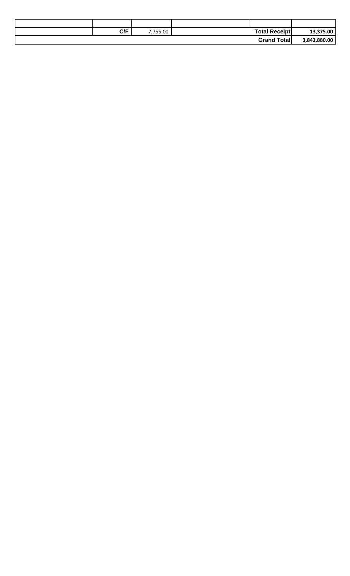| C/F | 755.00 | <b>Total Receipt</b> | 13,375.00    |
|-----|--------|----------------------|--------------|
|     |        | <b>Grand Total</b>   | 3,842,880.00 |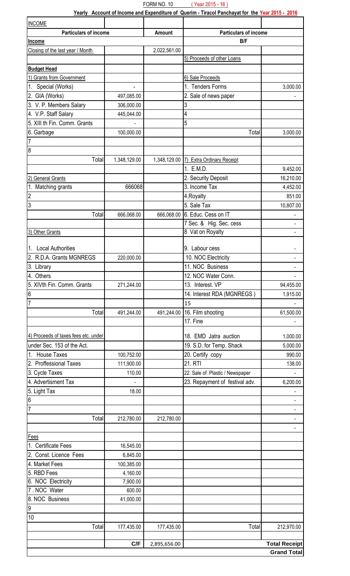| <b>INCOME</b>                        |              |              |                                        |                          |
|--------------------------------------|--------------|--------------|----------------------------------------|--------------------------|
| <b>Particulars of income</b>         |              | Amount       | <b>Particulars of income</b>           |                          |
| Income                               |              |              | B/F                                    |                          |
| Closing of the last year / Month     |              | 2,022,561.00 |                                        |                          |
|                                      |              |              | 5) Proceeds of other Loans             |                          |
| <b>Budget Head</b>                   |              |              |                                        |                          |
| 1) Grants from Government            |              |              | 6) Sale Proceeds                       |                          |
| 1. Special (Works)                   |              |              | 1. Tenders Forms                       | 3,000.00                 |
| 2. GIA (Works)                       | 497,085.00   |              | 2. Sale of news paper                  |                          |
| 3. V. P. Members Salary              | 306,000.00   |              | 3                                      |                          |
| 4. V.P. Staff Salary                 | 445,044.00   |              | 4                                      |                          |
| 5. XIII th Fin. Comm. Grants         |              |              | 5                                      |                          |
| 6. Garbage                           | 100,000.00   |              | Total                                  | 3,000.00                 |
| $\overline{7}$                       |              |              |                                        |                          |
| $\overline{8}$                       |              |              |                                        |                          |
| Total                                | 1,348,129.00 |              | 1,348,129.00 7) Extra Ordinary Receipt |                          |
|                                      |              |              | 1. E.M.D.                              | 9,452.00                 |
|                                      |              |              | 2. Security Deposit                    | 16,210.00                |
| 2) General Grants                    | 666068       |              | 3. Income Tax                          |                          |
| 1. Matching grants                   |              |              |                                        | 4,452.00                 |
| $\overline{c}$<br>$\overline{3}$     |              |              | 4. Royalty                             | 851.00                   |
|                                      |              |              | 5. Sale Tax                            | 10,807.00                |
| Total                                | 666,068.00   |              | 666,068.00 6. Educ. Cess on IT         | ۰                        |
|                                      |              |              | 7 Sec. & Hig. Sec. cess                |                          |
| 3) Other Grants                      |              |              | 8 Vat on Royalty                       |                          |
| 1. Local Authorities                 |              |              | 9. Labour cess                         |                          |
| 2. R.D.A. Grants MGNREGS             |              |              |                                        |                          |
|                                      | 220,000.00   |              | 10. NOC Electricity                    |                          |
| 3. Library                           |              |              | 11. NOC Business                       |                          |
| 4. Others                            |              |              | 12. NOC Water Conn.                    |                          |
| 5. XIVth Fin. Comm. Grants           | 271,244.00   |              | 13. Interest. VP                       | 94,455.00                |
| $6\overline{6}$                      |              |              | 14. Interest RDA (MGNREGS)             | 1,915.00                 |
| $\overline{7}$                       |              |              | 15                                     |                          |
| Total                                | 491,244.00   | 491,244.00   | 16. Film shooting                      | 61,500.00                |
|                                      |              |              | 17. Fine                               |                          |
| 4) Proceeds of taxes fees etc. under |              |              | 18. EMD Jatra auction                  | 1,000.00                 |
| under Sec. 153 of the Act.           |              |              | 19. S.D. for Temp. Shack               | 5,000.00                 |
| 1. House Taxes                       |              |              |                                        | 990.00                   |
| 2. Proffessional Taxes               | 100,752.00   |              | 20. Certify copy<br>21. RTI            |                          |
|                                      | 111,900.00   |              |                                        | 138.00                   |
| 3. Cycle Taxes                       | 110.00       |              | 22. Sale of Plastic / Newspaper        |                          |
| 4. Advertisment Tax                  |              |              | 23. Repayment of festival adv.         | 6,200.00                 |
| 5. Light Tax                         | 18.00        |              |                                        |                          |
| $6\overline{6}$                      |              |              |                                        |                          |
| $\overline{7}$                       |              |              |                                        | $\overline{\phantom{0}}$ |
| Total                                | 212,780.00   | 212,780.00   |                                        |                          |
|                                      |              |              |                                        |                          |
| Fees                                 |              |              |                                        |                          |
| 1. Certificate Fees                  | 16,545.00    |              |                                        |                          |
| 2. Const. Licence Fees               | 6,845.00     |              |                                        |                          |
| 4. Market Fees                       | 100,385.00   |              |                                        |                          |
| 5. RBD Fees                          | 4,160.00     |              |                                        |                          |
| 6. NOC Electricity                   | 7,900.00     |              |                                        |                          |
| 7. NOC Water                         | 600.00       |              |                                        |                          |
| 8. NOC Business                      | 41,000.00    |              |                                        |                          |
| $\overline{9}$                       |              |              |                                        |                          |
| 10                                   |              |              |                                        |                          |
| Total                                | 177,435.00   | 177,435.00   | Total                                  | 212,970.00               |
|                                      |              |              |                                        |                          |
|                                      | C/F          | 2,895,656.00 |                                        | <b>Total Receipt</b>     |
|                                      |              |              |                                        | <b>Grand Total</b>       |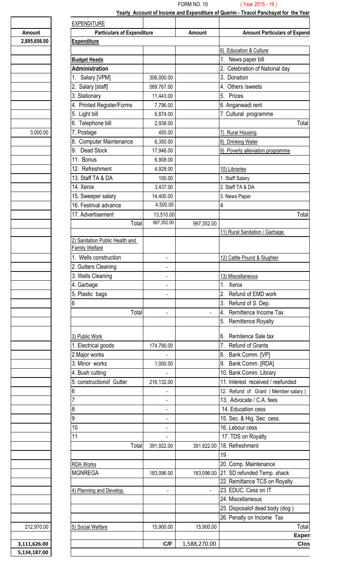|              | <b>EXPENDITURE</b>                                |                          |                     |                                                       |
|--------------|---------------------------------------------------|--------------------------|---------------------|-------------------------------------------------------|
| Amount       | <b>Particulars of Expenditure</b>                 |                          | Amount              | <b>Amount Particulars of Expend</b>                   |
| 2,895,656.00 | <b>Expenditure</b>                                |                          |                     |                                                       |
|              |                                                   |                          |                     | 6) Education & Culture                                |
|              | <b>Budget Heads</b>                               |                          |                     | News paper bill                                       |
|              | <b>Administration</b>                             |                          |                     | 2. Celebration of National day                        |
|              | Salary [VPM]                                      | 306,000.00               |                     | 3. Donation                                           |
|              | Salary [staff]<br>2.                              | 589,767.00               |                     | 4. Others / sweets                                    |
|              | 3. Stationary                                     | 11,443.00                |                     | 5. Prizes                                             |
|              | 4. Printed Register/Forms                         | 7,796.00                 |                     | 6. Anganwadi rent                                     |
|              | 5. Light bill                                     | 6,874.00                 |                     | 7. Cultural programme                                 |
|              | 6. Telephone bill                                 | 2,938.00                 |                     | Total                                                 |
| 3,000.00     | 7. Postage                                        | 455.00                   |                     | 7) Rural Housing                                      |
|              | 8. Computer Maintenance                           | 6,350.00                 |                     | 8) Drinking Water                                     |
|              | 9. Dead Stock                                     | 17,946.00                |                     | 9) Poverty alleviation programme                      |
|              | <b>Bonus</b>                                      | 6,908.00                 |                     |                                                       |
|              | 12. Refreshment                                   | 4,928.00                 |                     | 10) Libraries                                         |
|              | 13. Staff TA & DA                                 | 100.00                   |                     |                                                       |
|              | 14. Xerox                                         |                          |                     | . Staff Salary                                        |
|              |                                                   | 3,437.00                 |                     | 2. Staff TA & DA                                      |
|              | 15. Sweeper salary                                | 14,400.00<br>4,500.00    |                     | 3. News Paper                                         |
|              | 16. Festrival advance                             |                          |                     |                                                       |
|              | 17. Advertisement                                 | 13,510.00                |                     | Total                                                 |
|              | Total                                             | 997,352.00               | 997,352.00          |                                                       |
|              |                                                   |                          |                     | 11) Rural Sanitation / Garbage                        |
|              | 2) Sanitation Public Health and<br>Family Welfare |                          |                     |                                                       |
|              | Wells construction                                |                          |                     | 12) Cattle Pound & Slughter                           |
|              | 2. Gutters Cleaning                               | $\blacksquare$           |                     |                                                       |
|              | 3. Wells Cleaning                                 |                          |                     |                                                       |
|              |                                                   | $\blacksquare$           |                     | 13) Miscellaneous                                     |
|              | 4. Garbage                                        | $\blacksquare$           |                     | . Xerox                                               |
|              | 5. Plastic bags                                   | $\blacksquare$           |                     | 2. Refund of EMD work                                 |
|              |                                                   |                          |                     | 3. Refund of S. Dep.                                  |
|              | Total                                             | $\blacksquare$           | $\sim 10$           | Remittence Income Tax<br><b>4.</b>                    |
|              |                                                   |                          |                     | 5. Remittence Royalty                                 |
|              | 3) Public Work                                    |                          |                     | 6. Remitence Sale tax                                 |
|              | 1. Electrical goods                               | 174,790.00               |                     | Refund of Grants                                      |
|              | 2. Major works                                    |                          |                     | Bank Comm. [VP]<br>8.                                 |
|              | 3. Minor works                                    | 1,000.00                 |                     | Bank Comm. [RDA]<br>9.                                |
|              | 4. Bush cutting                                   |                          |                     | 10. Bank Comm. Library                                |
|              | 5. construction of Gutter                         | 216,132.00               |                     | 11. Interest received / reefunded                     |
|              |                                                   | $\blacksquare$           |                     | 12. Refund of Grant (Member salary)                   |
|              |                                                   | $\blacksquare$           |                     | 13. Advocate / C.A. fees                              |
|              |                                                   | $\blacksquare$           |                     | 14. Education cess                                    |
|              | Ι9                                                | $\blacksquare$           |                     | 15. Sec. & Hig. Sec cess.                             |
|              | 10                                                | $\blacksquare$           |                     | 16. Lebour cess                                       |
|              |                                                   | $\blacksquare$           |                     | 17. TDS on Royalty                                    |
|              | Total                                             | 391,922.00               |                     | 391,922.00 18. Refreshment                            |
|              |                                                   |                          |                     | 19                                                    |
|              |                                                   |                          |                     |                                                       |
|              | <b>RDA Works</b>                                  |                          |                     | 20. Comp. Maintenance                                 |
|              | <b>MGNREGA</b>                                    | 183,096.00               |                     | 183,096.00 21. SD refunded Temp. shack                |
|              |                                                   |                          |                     | 22. Remittance TCS on Royalty<br>23. EDUC. Cess on IT |
|              | 4) Planning and Develop.                          | $\overline{\phantom{a}}$ | $\omega_{\rm{eff}}$ |                                                       |
|              |                                                   |                          |                     | 24. Miscellaneous                                     |
|              |                                                   |                          |                     | 25. Disposalof dead body (dog)                        |
|              |                                                   |                          |                     | 26. Penalty on Income Tax                             |
|              |                                                   |                          |                     |                                                       |
| 212,970.00   | 5) Social Welfare                                 | 15,900.00                | 15,900.00           | Total<br>Expen                                        |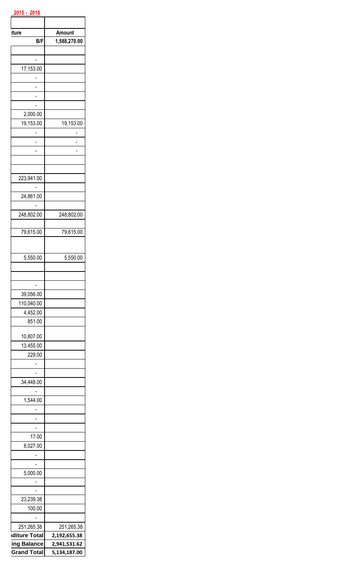| iture                    | Amount       |
|--------------------------|--------------|
| B/F                      | 1,588,270.00 |
|                          |              |
|                          |              |
| 17,153.00                |              |
|                          |              |
| -                        |              |
|                          |              |
| 2,000.00                 |              |
| 19,153.00                | 19,153.00    |
|                          |              |
|                          |              |
|                          |              |
|                          |              |
|                          |              |
| 223,941.00               |              |
|                          |              |
| 24,861.00                |              |
|                          |              |
| 248,802.00               | 248,802.00   |
| 79,615.00                | 79,615.00    |
|                          |              |
|                          |              |
| 5,550.00                 | 5,550.00     |
|                          |              |
|                          |              |
|                          |              |
| 39,056.00                |              |
| 110,040.00               |              |
| 4,452.00                 |              |
| 851.00                   |              |
| 10,807.00                |              |
| 13,455.00                |              |
| 229.00                   |              |
| -                        |              |
|                          |              |
| 34,448.00                |              |
|                          |              |
| 1,544.00                 |              |
|                          |              |
|                          |              |
| $\overline{\phantom{a}}$ |              |
| 17.00                    |              |
| 8,027.00                 |              |
|                          |              |
| 5,000.00                 |              |
| -                        |              |
|                          |              |
| 23,239.38                |              |
| 100.00                   |              |
|                          |              |
| 251,265.38               | 251,265.38   |
| <b>Iditure Total</b>     | 2,192,655.38 |
| ing Balance              | 2,941,531.62 |
| <b>Grand Total</b>       | 5,134,187.00 |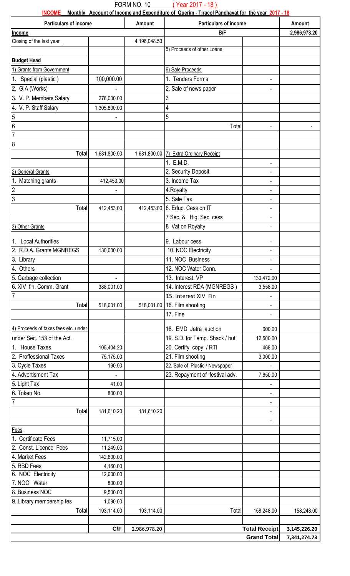FORM NO. 10 ( Year 2017 - 18 )

**INCOME Monthly Account of Income and Expenditure of Querim - Tiracol Panchayat for the year 2017 - 18**

| <b>Particulars of income</b>         |              | Amount       | <b>Particulars of income</b>           |                          | Amount                     |
|--------------------------------------|--------------|--------------|----------------------------------------|--------------------------|----------------------------|
| Income                               |              |              | B/F                                    |                          | 2,986,978.20               |
| Closing of the last year             |              | 4,196,048.53 |                                        |                          |                            |
|                                      |              |              | 5) Proceeds of other Loans             |                          |                            |
| <b>Budget Head</b>                   |              |              |                                        |                          |                            |
| 1) Grants from Government            |              |              | 6) Sale Proceeds                       |                          |                            |
| 1. Special (plastic)                 | 100,000.00   |              | 1. Tenders Forms                       |                          |                            |
| 2. GIA (Works)                       |              |              | 2. Sale of news paper                  |                          |                            |
| 3. V. P. Members Salary              | 276,000.00   |              | 3                                      |                          |                            |
| 4. V. P. Staff Salary                | 1,305,800.00 |              | 4                                      |                          |                            |
| 5                                    |              |              | 5                                      |                          |                            |
| $6\overline{6}$                      |              |              | Total                                  |                          |                            |
| $\overline{7}$                       |              |              |                                        |                          |                            |
| 8                                    |              |              |                                        |                          |                            |
| Total                                | 1,681,800.00 |              | 1,681,800.00 7) Extra Ordinary Receipt |                          |                            |
|                                      |              |              | 1. E.M.D.                              | -                        |                            |
| 2) General Grants                    |              |              | 2. Security Deposit                    |                          |                            |
| 1. Matching grants                   | 412,453.00   |              | 3. Income Tax                          | ÷,                       |                            |
| $\overline{2}$                       |              |              | 4. Royalty                             |                          |                            |
| 3                                    |              |              | 5. Sale Tax                            |                          |                            |
| Total                                | 412,453.00   |              | 412,453.00 6. Educ. Cess on IT         | $\overline{\phantom{0}}$ |                            |
|                                      |              |              | 7 Sec. & Hig. Sec. cess                |                          |                            |
| 3) Other Grants                      |              |              | 8 Vat on Royalty                       |                          |                            |
|                                      |              |              |                                        |                          |                            |
| 1. Local Authorities                 |              |              | 9. Labour cess                         | -                        |                            |
| 2. R.D.A. Grants MGNREGS             | 130,000.00   |              | 10. NOC Electricity                    |                          |                            |
| 3. Library                           |              |              | 11. NOC Business                       |                          |                            |
| 4. Others                            |              |              | 12. NOC Water Conn.                    |                          |                            |
| 5. Garbage collection                |              |              | 13. Interest. VP                       | 130,472.00               |                            |
| 6. XIV fin. Comm. Grant              | 388,001.00   |              | 14. Interest RDA (MGNREGS)             | 3,558.00                 |                            |
|                                      |              |              | 15. Interest XIV Fin                   |                          |                            |
| Total                                | 518,001.00   |              | 518,001.00 16. Film shooting           |                          |                            |
|                                      |              |              | 17. Fine                               | $\overline{\phantom{0}}$ |                            |
|                                      |              |              |                                        |                          |                            |
| 4) Proceeds of taxes fees etc. under |              |              | 18. EMD Jatra auction                  | 600.00                   |                            |
| under Sec. 153 of the Act.           |              |              | 19. S.D. for Temp. Shack / hut         | 12,500.00                |                            |
| <b>House Taxes</b><br>1 <sub>1</sub> | 105,404.20   |              | 20. Certify copy / RTI                 | 468.00                   |                            |
| 2. Proffessional Taxes               | 75,175.00    |              | 21. Film shooting                      | 3,000.00                 |                            |
| 3. Cycle Taxes                       | 190.00       |              | 22. Sale of Plastic / Newspaper        |                          |                            |
| 4. Advertisment Tax                  |              |              | 23. Repayment of festival adv.         | 7,650.00                 |                            |
| 5. Light Tax                         | 41.00        |              |                                        |                          |                            |
| 6. Token No.                         | 800.00       |              |                                        |                          |                            |
| 7                                    |              |              |                                        | $\blacksquare$           |                            |
| Total                                | 181,610.20   | 181,610.20   |                                        | $\blacksquare$           |                            |
|                                      |              |              |                                        |                          |                            |
| Fees                                 |              |              |                                        |                          |                            |
| 1. Certificate Fees                  | 11,715.00    |              |                                        |                          |                            |
| 2. Const. Licence Fees               | 11,249.00    |              |                                        |                          |                            |
| 4. Market Fees                       | 142,600.00   |              |                                        |                          |                            |
| 5. RBD Fees                          | 4,160.00     |              |                                        |                          |                            |
| 6. NOC Electricity                   | 12,000.00    |              |                                        |                          |                            |
| 7. NOC Water                         | 800.00       |              |                                        |                          |                            |
| 8. Business NOC                      | 9,500.00     |              |                                        |                          |                            |
| 9. Library membership fes            | 1,090.00     |              |                                        |                          |                            |
| Total                                | 193,114.00   | 193,114.00   | Total                                  | 158,248.00               | 158,248.00                 |
|                                      |              |              |                                        |                          |                            |
|                                      | C/F          | 2,986,978.20 |                                        |                          | Total Receipt 3,145,226.20 |
|                                      |              |              |                                        | <b>Grand Total</b>       | 7,341,274.73               |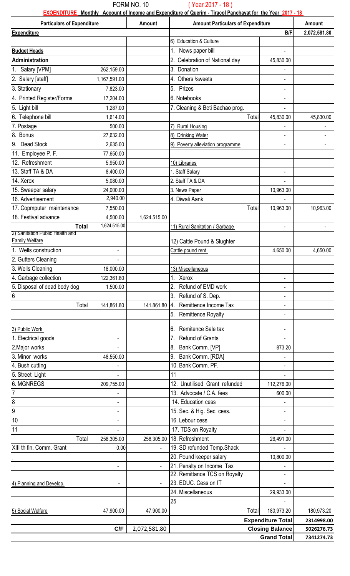#### FORM NO. 10 ( Year 2017 - 18 )

**EXOENDITURE Monthly Account of Income and Expenditure of Querim - Tiracol Panchayat for the Year 2017 - 18** 

|                                    | <b>Particulars of Expenditure</b><br><b>Amount</b><br><b>Amount Particulars of Expenditure</b> |                | Amount                                            |                          |              |
|------------------------------------|------------------------------------------------------------------------------------------------|----------------|---------------------------------------------------|--------------------------|--------------|
| <b>Expenditure</b>                 |                                                                                                |                |                                                   | B/F                      | 2,072,581.80 |
|                                    |                                                                                                |                | 6) Education & Culture                            |                          |              |
| <b>Budget Heads</b>                |                                                                                                |                | 1. News paper bill                                |                          |              |
| <b>Administration</b>              |                                                                                                |                | 2. Celebration of National day                    | 45,830.00                |              |
| 1. Salary [VPM]                    | 262,159.00                                                                                     |                | 3. Donation                                       |                          |              |
| 2. Salary [staff]                  | 1,167,591.00                                                                                   |                | 4. Others /sweets                                 |                          |              |
| 3. Stationary                      | 7,823.00                                                                                       |                | 5. Prizes                                         | $\blacksquare$           |              |
| 4. Printed Register/Forms          | 17,204.00                                                                                      |                | 6. Notebooks                                      |                          |              |
| 5. Light bill                      | 1,287.00                                                                                       |                | 7. Cleaning & Beti Bachao prog.                   |                          |              |
| 6. Telephone bill                  | 1,614.00                                                                                       |                | Total                                             | 45,830.00                | 45,830.00    |
| 7. Postage                         | 500.00                                                                                         |                | <b>Rural Housing</b>                              |                          |              |
| 8. Bonus                           | 27,632.00                                                                                      |                | 8) Drinking Water                                 |                          |              |
| 9. Dead Stock                      | 2,635.00                                                                                       |                | 9) Poverty alleviation programme                  |                          |              |
| 11. Employee P. F.                 | 77,650.00                                                                                      |                |                                                   |                          |              |
| 12. Refreshment                    | 5,950.00                                                                                       |                | 10) Libraries                                     |                          |              |
| 13. Staff TA & DA                  | 8,400.00                                                                                       |                | 1. Staff Salary                                   |                          |              |
| 14. Xerox                          | 5,080.00                                                                                       |                | 2. Staff TA & DA                                  |                          |              |
| 15. Sweeper salary                 | 24,000.00                                                                                      |                | 3. News Paper                                     | 10,963.00                |              |
| 16. Advertisement                  | 2,940.00                                                                                       |                | 4. Diwali Aank                                    |                          |              |
| 17. Copmputer maintenance          | 7,550.00                                                                                       |                | Total                                             | 10,963.00                | 10,963.00    |
| 18. Festival advance               | 4,500.00                                                                                       | 1,624,515.00   |                                                   |                          |              |
| <b>Total</b>                       | 1,624,515.00                                                                                   |                | 11) Rural Sanitation / Garbage                    | $\overline{a}$           |              |
| Sanitation Public Health and       |                                                                                                |                |                                                   |                          |              |
| Family Welfare                     |                                                                                                |                | 12) Cattle Pound & Slughter                       |                          |              |
| 1. Wells construction              | $\blacksquare$                                                                                 |                | Cattle pound rent                                 | 4,650.00                 | 4,650.00     |
| 2. Gutters Cleaning                |                                                                                                |                |                                                   |                          |              |
| 3. Wells Cleaning                  | 18,000.00                                                                                      |                | 13) Miscellaneous                                 |                          |              |
| 4. Garbage collection              | 122,361.80                                                                                     |                | 1. Xerox                                          |                          |              |
| 5. Disposal of dead body dog<br>l6 | 1,500.00                                                                                       |                | Refund of EMD work<br>3.                          |                          |              |
| Total                              | 141,861.80                                                                                     |                | Refund of S. Dep.<br>Remittence Income Tax<br>14. |                          |              |
|                                    |                                                                                                | 141,861.80     |                                                   |                          |              |
|                                    |                                                                                                |                | 5. Remittence Royalty                             |                          |              |
| 3) Public Work                     |                                                                                                |                | Remitence Sale tax                                |                          |              |
| 1. Electrical goods                |                                                                                                |                | <b>Refund of Grants</b>                           |                          |              |
| 2. Major works                     |                                                                                                |                | Bank Comm. [VP]                                   | 873.20                   |              |
| 3. Minor works                     | 48,550.00                                                                                      |                | 9. Bank Comm. [RDA]                               |                          |              |
| 4. Bush cutting                    |                                                                                                |                | 10. Bank Comm. PF.                                |                          |              |
| 5. Street Light                    |                                                                                                |                | 11                                                |                          |              |
| <b>6. MGNREGS</b>                  | 209,755.00                                                                                     |                | 12. Unutilised Grant refunded                     | 112,276.00               |              |
|                                    |                                                                                                |                | 13. Advocate / C.A. fees                          | 600.00                   |              |
| 18                                 |                                                                                                |                | 14. Education cess                                |                          |              |
| 19                                 | $\overline{\phantom{0}}$                                                                       |                | 15. Sec. & Hig. Sec cess.                         |                          |              |
| 10                                 | $\blacksquare$                                                                                 |                | 16. Lebour cess                                   |                          |              |
| 11                                 |                                                                                                |                | 17. TDS on Royalty                                |                          |              |
| Total                              | 258,305.00                                                                                     | 258,305.00     | 18. Refreshment                                   | 26,491.00                |              |
| XIII th fin. Comm. Grant           | 0.00                                                                                           | $\blacksquare$ | 19. SD refunded Temp. Shack                       |                          |              |
|                                    |                                                                                                |                | 20. Pound keeper salary                           | 10,800.00                |              |
|                                    | $\blacksquare$                                                                                 |                | 21. Penalty on Income Tax                         |                          |              |
|                                    |                                                                                                |                | 22. Remittance TCS on Royalty                     |                          |              |
| 4) Planning and Develop.           |                                                                                                |                | 23. EDUC. Cess on IT                              |                          |              |
|                                    |                                                                                                |                | 24. Miscellaneous                                 | 29,933.00                |              |
|                                    |                                                                                                |                | 25                                                |                          |              |
| 5) Social Welfare                  | 47,900.00                                                                                      | 47,900.00      | Total                                             | 180,973.20               | 180,973.20   |
|                                    |                                                                                                |                |                                                   | <b>Expenditure Total</b> | 2314998.00   |
|                                    | C/F                                                                                            | 2,072,581.80   |                                                   | <b>Closing Balance</b>   | 5026276.73   |
|                                    |                                                                                                |                |                                                   | <b>Grand Total</b>       | 7341274.73   |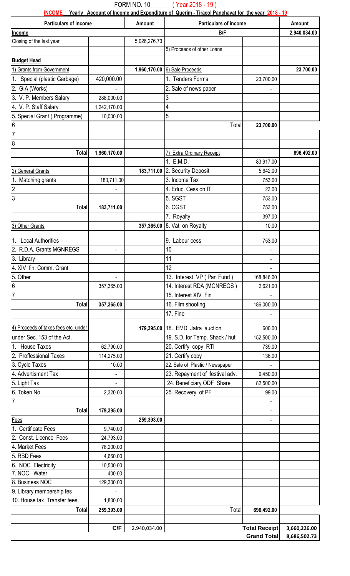FORM NO. 10 ( Year 2018 - 19 )

|                                      |              |              | INCOME Yearly Account of Income and Expenditure of Querim - Tiracol Panchayat for the year 2018 - 19 |                      |              |
|--------------------------------------|--------------|--------------|------------------------------------------------------------------------------------------------------|----------------------|--------------|
| <b>Particulars of income</b>         |              | Amount       | <b>Particulars of income</b>                                                                         |                      | Amount       |
| Income                               |              |              | B/F                                                                                                  |                      | 2,940,034.00 |
| Closing of the last year             |              | 5,026,276.73 |                                                                                                      |                      |              |
|                                      |              |              | 5) Proceeds of other Loans                                                                           |                      |              |
| <b>Budget Head</b>                   |              |              |                                                                                                      |                      |              |
| 1) Grants from Government            |              | 1,960,170.00 | 6) Sale Proceeds                                                                                     |                      | 23,700.00    |
| 1. Special (plastic Garbage)         | 420,000.00   |              | 1. Tenders Forms                                                                                     | 23,700.00            |              |
| 2. GIA (Works)                       |              |              | 2. Sale of news paper                                                                                |                      |              |
| 3. V. P. Members Salary              | 288,000.00   |              | 3                                                                                                    |                      |              |
| 4. V. P. Staff Salary                | 1,242,170.00 |              | 4                                                                                                    |                      |              |
| 5. Special Grant (Programme)         | 10,000.00    |              | 5                                                                                                    |                      |              |
| 6                                    |              |              | Total                                                                                                | 23,700.00            |              |
| $\overline{7}$                       |              |              |                                                                                                      |                      |              |
| $\boldsymbol{8}$                     |              |              |                                                                                                      |                      |              |
| Total                                | 1,960,170.00 |              | 7) Extra Ordinary Receipt                                                                            |                      | 696,492.00   |
|                                      |              |              | 1. E.M.D.                                                                                            | 83,917.00            |              |
| 2) General Grants                    |              |              | 183,711.00 2. Security Deposit                                                                       | 5,642.00             |              |
| 1. Matching grants                   | 183,711.00   |              | 3. Income Tax                                                                                        | 753.00               |              |
| $\overline{c}$                       |              |              | 4. Educ. Cess on IT                                                                                  | 23.00                |              |
| 3                                    |              |              | 5. SGST                                                                                              | 753.00               |              |
| Total                                | 183,711.00   |              | 6. CGST                                                                                              | 753.00               |              |
|                                      |              |              | 7. Royalty                                                                                           | 397.00               |              |
| 3) Other Grants                      |              | 357,365.00   | 8. Vat on Royalty                                                                                    | 10.00                |              |
|                                      |              |              |                                                                                                      |                      |              |
| 1. Local Authorities                 |              |              | 9. Labour cess                                                                                       | 753.00               |              |
| 2. R.D.A. Grants MGNREGS             |              |              | 10                                                                                                   |                      |              |
| 3. Library                           |              |              | 11                                                                                                   | $\blacksquare$       |              |
| 4. XIV fin. Comm. Grant              |              |              | $\overline{12}$                                                                                      |                      |              |
| 5. Other                             |              |              | 13. Interest. VP (Pan Fund)                                                                          | 168,846.00           |              |
| 6                                    | 357,365.00   |              | 14. Interest RDA (MGNREGS)                                                                           | 2,621.00             |              |
| $\overline{7}$                       |              |              | 15. Interest XIV Fin                                                                                 |                      |              |
| Total                                | 357,365.00   |              | 16. Film shooting                                                                                    | 186,000.00           |              |
|                                      |              |              | 17. Fine                                                                                             |                      |              |
|                                      |              |              |                                                                                                      |                      |              |
| 4) Proceeds of taxes fees etc. under |              |              | 179,395.00 18. EMD Jatra auction                                                                     | 600.00               |              |
| under Sec. 153 of the Act.           |              |              | 19. S.D. for Temp. Shack / hut                                                                       | 152,500.00           |              |
| 1. House Taxes                       | 62,790.00    |              | 20. Certify copy RTI                                                                                 | 739.00               |              |
| 2. Proffessional Taxes               | 114,275.00   |              | 21. Certify copy                                                                                     | 136.00               |              |
| 3. Cycle Taxes                       | 10.00        |              | 22. Sale of Plastic / Newspaper                                                                      | $\blacksquare$       |              |
| 4. Advertisment Tax                  |              |              | 23. Repayment of festival adv.                                                                       | 9,450.00             |              |
| 5. Light Tax                         |              |              | 24. Beneficiary ODF Share                                                                            | 82,500.00            |              |
| 6. Token No.                         | 2,320.00     |              | 25. Recovery of PF                                                                                   | 99.00                |              |
| $\overline{7}$                       |              |              |                                                                                                      |                      |              |
| Total                                | 179,395.00   |              |                                                                                                      |                      |              |
| Fees                                 |              | 259,393.00   |                                                                                                      |                      |              |
| 1. Certificate Fees                  | 9,740.00     |              |                                                                                                      |                      |              |
| 2. Const. Licence Fees               | 24,793.00    |              |                                                                                                      |                      |              |
| 4. Market Fees                       | 78,200.00    |              |                                                                                                      |                      |              |
| 5. RBD Fees                          | 4,660.00     |              |                                                                                                      |                      |              |
| 6. NOC Electricity                   | 10,500.00    |              |                                                                                                      |                      |              |
| 7. NOC Water                         | 400.00       |              |                                                                                                      |                      |              |
| 8. Business NOC                      | 129,300.00   |              |                                                                                                      |                      |              |
| 9. Library membership fes            |              |              |                                                                                                      |                      |              |
| 10. House tax Transfer fees          | 1,800.00     |              |                                                                                                      |                      |              |
| Total                                | 259,393.00   |              | Total                                                                                                | 696,492.00           |              |
|                                      |              |              |                                                                                                      |                      |              |
|                                      | C/F          | 2,940,034.00 |                                                                                                      | <b>Total Receipt</b> | 3,660,226.00 |
|                                      |              |              |                                                                                                      | <b>Grand Total</b>   | 8,686,502.73 |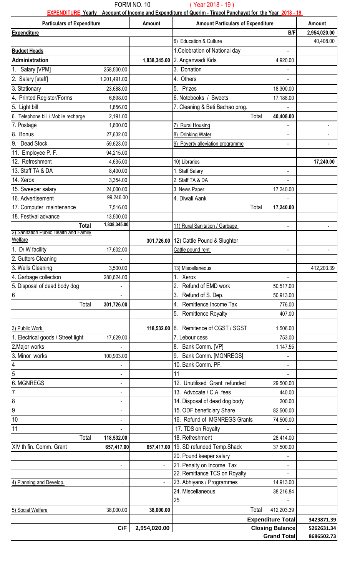#### FORM NO. 10 ( Year 2018 - 19 )

**EXPENDITURE Yearly Account of Income and Expenditure of Querim - Tiracol Panchayat for the Year 2018 - 19** 

| <b>Particulars of Expenditure</b>                   |                | Amount                   | <b>Amount Particulars of Expenditure</b>      |                          | Amount       |
|-----------------------------------------------------|----------------|--------------------------|-----------------------------------------------|--------------------------|--------------|
| <b>Expenditure</b>                                  |                |                          |                                               | B/F                      | 2,954,020.00 |
|                                                     |                |                          | 6) Education & Culture                        |                          | 40,408.00    |
| <b>Budget Heads</b>                                 |                |                          | 1. Celebration of National day                |                          |              |
| Administration                                      |                | 1,838,345.00             | 2. Anganwadi Kids                             | 4,920.00                 |              |
| 1. Salary [VPM]                                     | 258,500.00     |                          | 3. Donation                                   |                          |              |
| 2. Salary [staff]                                   | 1,201,491.00   |                          | 4. Others                                     | $\overline{a}$           |              |
| 3. Stationary                                       | 23,688.00      |                          | 5. Prizes                                     | 18,300.00                |              |
| 4. Printed Register/Forms                           | 6,898.00       |                          | 6. Notebooks / Sweets                         | 17,188.00                |              |
| 5. Light bill                                       | 1,856.00       |                          | 7. Cleaning & Beti Bachao prog.               |                          |              |
| 6. Telephone bill / Mobile recharge                 | 2,191.00       |                          | Total                                         | 40,408.00                |              |
| 7. Postage                                          | 1,600.00       |                          | <b>Rural Housing</b>                          |                          |              |
| 8. Bonus                                            | 27,632.00      |                          | 8) Drinking Water                             | $\overline{a}$           |              |
| Dead Stock<br>9.                                    | 59,623.00      |                          | 9) Poverty alleviation programme              |                          |              |
| 11. Employee P. F.                                  | 94,215.00      |                          |                                               |                          |              |
| 12. Refreshment                                     | 4,635.00       |                          | 10) Libraries                                 |                          | 17,240.00    |
| 13. Staff TA & DA                                   | 8,400.00       |                          | 1. Staff Salary                               | $\blacksquare$           |              |
| 14. Xerox                                           | 3,354.00       |                          | 2. Staff TA & DA                              |                          |              |
| 15. Sweeper salary                                  | 24,000.00      |                          | 3. News Paper                                 | 17,240.00                |              |
| 16. Advertisement                                   | 99,246.00      |                          | 4. Diwali Aank                                |                          |              |
| 17. Computer maintenance                            | 7,516.00       |                          | Total                                         | 17,240.00                |              |
| 18. Festival advance                                | 13,500.00      |                          |                                               |                          |              |
| <b>Total</b><br>Sanitation Public Health and Family | 1,838,345.00   |                          | 11) Rural Sanitation / Garbage                | $\blacksquare$           |              |
| <b>Welfare</b>                                      |                | 301,726.00               | 12) Cattle Pound & Slughter                   |                          |              |
| 1. D/W facility                                     | 17,602.00      |                          | Cattle pound rent                             | $\overline{a}$           |              |
| 2. Gutters Cleaning                                 |                |                          |                                               |                          |              |
| 3. Wells Cleaning                                   | 3,500.00       |                          | 13) Miscellaneous                             |                          | 412,203.39   |
| 4. Garbage collection                               | 280,624.00     |                          | 1. Xerox                                      |                          |              |
| 5. Disposal of dead body dog                        |                |                          | 2. Refund of EMD work                         | 50,517.00                |              |
| 6                                                   |                |                          | 3. Refund of S. Dep.                          | 50,913.00                |              |
| Total                                               | 301,726.00     |                          | Remittence Income Tax<br>4.                   | 776.00                   |              |
|                                                     |                |                          | 5. Remittence Royalty                         | 407.00                   |              |
|                                                     |                |                          |                                               |                          |              |
| 3) Public Work                                      |                | 118,532.00               | 6. Remitence of CGST / SGST                   | 1,506.00                 |              |
| 1. Electrical goods / Street light                  | 17,629.00      |                          | 7. Lebour cess                                | 753.00                   |              |
| 2. Major works                                      |                |                          | 8. Bank Comm. [VP]                            | 1,147.55                 |              |
| 3. Minor works                                      | 100,903.00     |                          | 9. Bank Comm. [MGNREGS]<br>10. Bank Comm. PF. |                          |              |
| 5                                                   |                |                          | 11                                            |                          |              |
| <b>6. MGNREGS</b>                                   |                |                          | 12. Unutilised Grant refunded                 | 29,500.00                |              |
|                                                     |                |                          | 13. Advocate / C.A. fees                      | 440.00                   |              |
| 8                                                   |                |                          | 14. Disposal of dead dog body                 | 200.00                   |              |
| 19                                                  |                |                          | 15. ODF beneficiary Share                     | 82,500.00                |              |
| 10                                                  | $\blacksquare$ |                          | 16. Refund of MGNREGS Grants                  | 74,500.00                |              |
| 11                                                  |                |                          | 17. TDS on Royalty                            |                          |              |
| Total                                               | 118,532.00     |                          | 18. Refreshment                               | 28,414.00                |              |
| XIV th fin. Comm. Grant                             | 657,417.00     | 657,417.00               | 19. SD refunded Temp.Shack                    | 37,500.00                |              |
|                                                     |                |                          | 20. Pound keeper salary                       |                          |              |
|                                                     |                | $\overline{\phantom{a}}$ | 21. Penalty on Income Tax                     |                          |              |
|                                                     |                |                          | 22. Remittance TCS on Royalty                 |                          |              |
| 4) Planning and Develop.                            |                |                          | 23. Abhiyans / Programmes                     | 14,913.00                |              |
|                                                     |                |                          | 24. Miscellaneous                             | 38,216.84                |              |
|                                                     |                |                          | 25                                            |                          |              |
| 5) Social Welfare                                   | 38,000.00      | 38,000.00                | Total                                         | 412,203.39               |              |
|                                                     |                |                          |                                               | <b>Expenditure Total</b> | 3423871.39   |
|                                                     | C/F            | 2,954,020.00             |                                               | <b>Closing Balance</b>   | 5262631.34   |
|                                                     |                |                          |                                               | <b>Grand Total</b>       | 8686502.73   |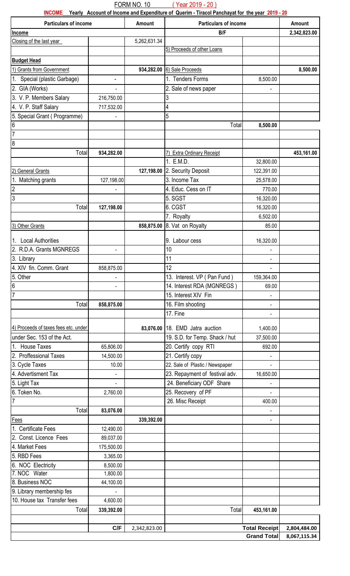FORM NO. 10 ( Year 2019 - 20 )

|                                           |                          |              | INCOME Yearly Account of Income and Expenditure of Querim - Tiracol Panchayat for the year 2019 - 20 |                      |              |
|-------------------------------------------|--------------------------|--------------|------------------------------------------------------------------------------------------------------|----------------------|--------------|
| <b>Particulars of income</b>              |                          | Amount       | Particulars of income                                                                                |                      | Amount       |
| Income                                    |                          | 5,262,631.34 | B/F                                                                                                  |                      | 2,342,823.00 |
| Closing of the last year                  |                          |              | 5) Proceeds of other Loans                                                                           |                      |              |
| <b>Budget Head</b>                        |                          |              |                                                                                                      |                      |              |
| 1) Grants from Government                 |                          | 934,282.00   | 6) Sale Proceeds                                                                                     |                      | 8,500.00     |
| 1. Special (plastic Garbage)              |                          |              | 1. Tenders Forms                                                                                     |                      |              |
|                                           | $\overline{\phantom{a}}$ |              |                                                                                                      | 8,500.00             |              |
| 2. GIA (Works)<br>3. V. P. Members Salary | 216,750.00               |              | 2. Sale of news paper<br>3                                                                           |                      |              |
| 4. V. P. Staff Salary                     | 717,532.00               |              | 4                                                                                                    |                      |              |
| 5. Special Grant (Programme)              |                          |              | 5                                                                                                    |                      |              |
| 6                                         |                          |              | Total                                                                                                | 8,500.00             |              |
| $\overline{7}$                            |                          |              |                                                                                                      |                      |              |
| $\boldsymbol{8}$                          |                          |              |                                                                                                      |                      |              |
| Total                                     | 934,282.00               |              | 7) Extra Ordinary Receipt                                                                            |                      | 453,161.00   |
|                                           |                          |              | 1. E.M.D.                                                                                            | 32,800.00            |              |
| 2) General Grants                         |                          | 127,198.00   | 2. Security Deposit                                                                                  | 122,391.00           |              |
| 1. Matching grants                        | 127,198.00               |              | 3. Income Tax                                                                                        | 25,578.00            |              |
| $\overline{c}$                            |                          |              | 4. Educ. Cess on IT                                                                                  | 770.00               |              |
| 3                                         |                          |              | 5. SGST                                                                                              | 16,320.00            |              |
| Total                                     | 127,198.00               |              | 6. CGST                                                                                              | 16,320.00            |              |
|                                           |                          |              | 7. Royalty                                                                                           | 6,502.00             |              |
| 3) Other Grants                           |                          | 858,875.00   | 8. Vat on Royalty                                                                                    | 85.00                |              |
|                                           |                          |              |                                                                                                      |                      |              |
| 1. Local Authorities                      |                          |              | 9. Labour cess                                                                                       | 16,320.00            |              |
| 2. R.D.A. Grants MGNREGS                  |                          |              | 10                                                                                                   |                      |              |
| 3. Library                                |                          |              | 11                                                                                                   |                      |              |
| 4. XIV fin. Comm. Grant                   | 858,875.00               |              | $\overline{12}$                                                                                      |                      |              |
| 5. Other                                  |                          |              | 13. Interest. VP (Pan Fund)                                                                          | 159,364.00           |              |
| 6                                         |                          |              | 14. Interest RDA (MGNREGS)                                                                           | 69.00                |              |
| $\overline{7}$                            |                          |              | 15. Interest XIV Fin                                                                                 |                      |              |
| Total                                     | 858,875.00               |              | 16. Film shooting                                                                                    |                      |              |
|                                           |                          |              | 17. Fine                                                                                             |                      |              |
| 4) Proceeds of taxes fees etc. under      |                          |              | 83,076.00 18. EMD Jatra auction                                                                      | 1,400.00             |              |
| under Sec. 153 of the Act.                |                          |              | 19. S.D. for Temp. Shack / hut                                                                       | 37,500.00            |              |
| 1. House Taxes                            | 65,806.00                |              | 20. Certify copy RTI                                                                                 | 692.00               |              |
| 2. Proffessional Taxes                    | 14,500.00                |              | 21. Certify copy                                                                                     |                      |              |
| 3. Cycle Taxes                            | 10.00                    |              | 22. Sale of Plastic / Newspaper                                                                      |                      |              |
| 4. Advertisment Tax                       |                          |              | 23. Repayment of festival adv.                                                                       | 16,650.00            |              |
| 5. Light Tax                              |                          |              | 24. Beneficiary ODF Share                                                                            |                      |              |
| 6. Token No.                              | 2,760.00                 |              | 25. Recovery of PF                                                                                   |                      |              |
| $\overline{7}$                            |                          |              | 26. Misc Receipt                                                                                     | 400.00               |              |
| Total                                     | 83,076.00                |              |                                                                                                      |                      |              |
| Fees                                      |                          | 339,392.00   |                                                                                                      |                      |              |
| 1. Certificate Fees                       | 12,490.00                |              |                                                                                                      |                      |              |
| 2. Const. Licence Fees                    | 89,037.00                |              |                                                                                                      |                      |              |
| 4. Market Fees                            | 175,500.00               |              |                                                                                                      |                      |              |
| 5. RBD Fees                               | 3,365.00                 |              |                                                                                                      |                      |              |
| 6. NOC Electricity                        | 8,500.00                 |              |                                                                                                      |                      |              |
| 7. NOC Water                              | 1,800.00                 |              |                                                                                                      |                      |              |
| 8. Business NOC                           | 44,100.00                |              |                                                                                                      |                      |              |
| 9. Library membership fes                 |                          |              |                                                                                                      |                      |              |
| 10. House tax Transfer fees               | 4,600.00                 |              |                                                                                                      |                      |              |
| Total                                     | 339,392.00               |              | Total                                                                                                | 453,161.00           |              |
|                                           |                          |              |                                                                                                      |                      |              |
|                                           | C/F                      | 2,342,823.00 |                                                                                                      | <b>Total Receipt</b> | 2,804,484.00 |
|                                           |                          |              |                                                                                                      | <b>Grand Total</b>   | 8,067,115.34 |